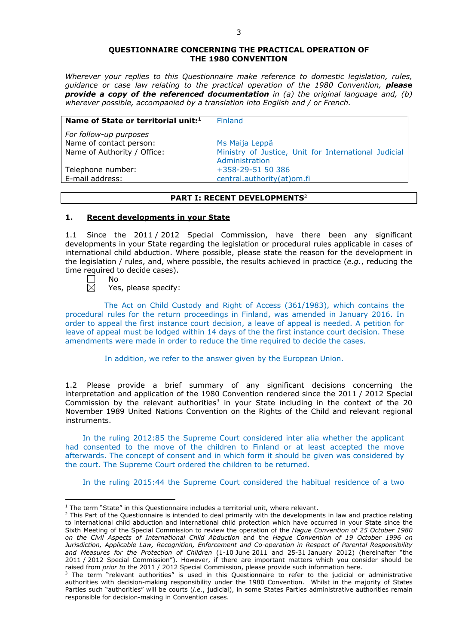#### **QUESTIONNAIRE CONCERNING THE PRACTICAL OPERATION OF THE 1980 CONVENTION**

*Wherever your replies to this Questionnaire make reference to domestic legislation, rules, guidance or case law relating to the practical operation of the 1980 Convention, please provide a copy of the referenced documentation in (a) the original language and, (b) wherever possible, accompanied by a translation into English and / or French.* 

| Name of State or territorial unit: <sup>1</sup> | <b>Finland</b>                                       |
|-------------------------------------------------|------------------------------------------------------|
| For follow-up purposes                          |                                                      |
| Name of contact person:                         | Ms Maija Leppä                                       |
| Name of Authority / Office:                     | Ministry of Justice, Unit for International Judicial |
|                                                 | Administration                                       |
| Telephone number:                               | +358-29-51 50 386                                    |
| E-mail address:                                 | central.authority(at)om.fi                           |

# **PART I: RECENT DEVELOPMENTS**<sup>2</sup>

### **1. Recent developments in your State**

1.1 Since the 2011 / 2012 Special Commission, have there been any significant developments in your State regarding the legislation or procedural rules applicable in cases of international child abduction. Where possible, please state the reason for the development in the legislation / rules, and, where possible, the results achieved in practice (*e.g.*, reducing the time required to decide cases).

岗

<u>.</u>

No

Yes, please specify:

The Act on Child Custody and Right of Access (361/1983), which contains the procedural rules for the return proceedings in Finland, was amended in January 2016. In order to appeal the first instance court decision, a leave of appeal is needed. A petition for leave of appeal must be lodged within 14 days of the the first instance court decision. These amendments were made in order to reduce the time required to decide the cases.

In addition, we refer to the answer given by the European Union.

1.2 Please provide a brief summary of any significant decisions concerning the interpretation and application of the 1980 Convention rendered since the 2011 / 2012 Special Commission by the relevant authorities<sup>3</sup> in your State including in the context of the 20 November 1989 United Nations Convention on the Rights of the Child and relevant regional instruments.

In the ruling 2012:85 the Supreme Court considered inter alia whether the applicant had consented to the move of the children to Finland or at least accepted the move afterwards. The concept of consent and in which form it should be given was considered by the court. The Supreme Court ordered the children to be returned.

In the ruling 2015:44 the Supreme Court considered the habitual residence of a two

 $1$  The term "State" in this Questionnaire includes a territorial unit, where relevant.

 $<sup>2</sup>$  This Part of the Questionnaire is intended to deal primarily with the developments in law and practice relating</sup> to international child abduction and international child protection which have occurred in your State since the Sixth Meeting of the Special Commission to review the operation of the *Hague Convention of 25 October 1980 on the Civil Aspects of International Child Abduction* and the *Hague Convention of 19 October 1996 on Jurisdiction, Applicable Law, Recognition, Enforcement and Co-operation in Respect of Parental Responsibility and Measures for the Protection of Children* (1-10 June 2011 and 25-31 January 2012) (hereinafter "the 2011 / 2012 Special Commission"). However, if there are important matters which you consider should be raised from *prior to* the 2011 / 2012 Special Commission, please provide such information here.

 $3$  The term "relevant authorities" is used in this Questionnaire to refer to the judicial or administrative authorities with decision-making responsibility under the 1980 Convention. Whilst in the majority of States Parties such "authorities" will be courts (*i.e.*, judicial), in some States Parties administrative authorities remain responsible for decision-making in Convention cases.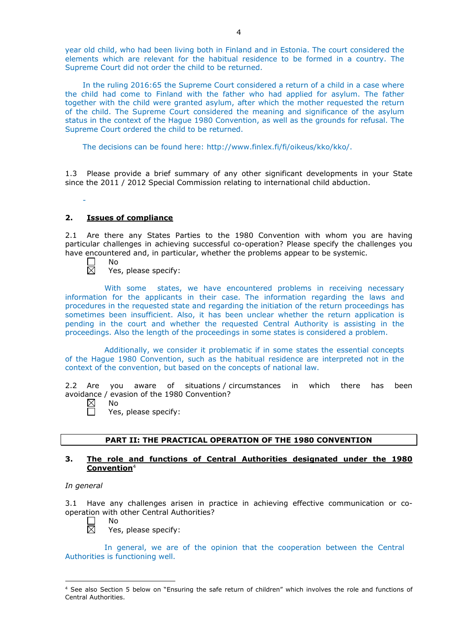year old child, who had been living both in Finland and in Estonia. The court considered the elements which are relevant for the habitual residence to be formed in a country. The Supreme Court did not order the child to be returned.

In the ruling 2016:65 the Supreme Court considered a return of a child in a case where the child had come to Finland with the father who had applied for asylum. The father together with the child were granted asylum, after which the mother requested the return of the child. The Supreme Court considered the meaning and significance of the asylum status in the context of the Hague 1980 Convention, as well as the grounds for refusal. The Supreme Court ordered the child to be returned.

The decisions can be found here: http://www.finlex.fi/fi/oikeus/kko/kko/.

1.3 Please provide a brief summary of any other significant developments in your State since the 2011 / 2012 Special Commission relating to international child abduction.

### **2. Issues of compliance**

2.1 Are there any States Parties to the 1980 Convention with whom you are having particular challenges in achieving successful co-operation? Please specify the challenges you have encountered and, in particular, whether the problems appear to be systemic.

No 岗

-

Yes, please specify:

With some states, we have encountered problems in receiving necessary information for the applicants in their case. The information regarding the laws and procedures in the requested state and regarding the initiation of the return proceedings has sometimes been insufficient. Also, it has been unclear whether the return application is pending in the court and whether the requested Central Authority is assisting in the proceedings. Also the length of the proceedings in some states is considered a problem.

Additionally, we consider it problematic if in some states the essential concepts of the Hague 1980 Convention, such as the habitual residence are interpreted not in the context of the convention, but based on the concepts of national law.

2.2 Are you aware of situations / circumstances in which there has been avoidance / evasion of the 1980 Convention?

- $\boxtimes$ No
	- Yes, please specify:

### **PART II: THE PRACTICAL OPERATION OF THE 1980 CONVENTION**

## **3. The role and functions of Central Authorities designated under the 1980 Convention**<sup>4</sup>

### *In general*

-

3.1 Have any challenges arisen in practice in achieving effective communication or cooperation with other Central Authorities?



No

Yes, please specify:

In general, we are of the opinion that the cooperation between the Central Authorities is functioning well.

<sup>4</sup> See also Section 5 below on "Ensuring the safe return of children" which involves the role and functions of Central Authorities.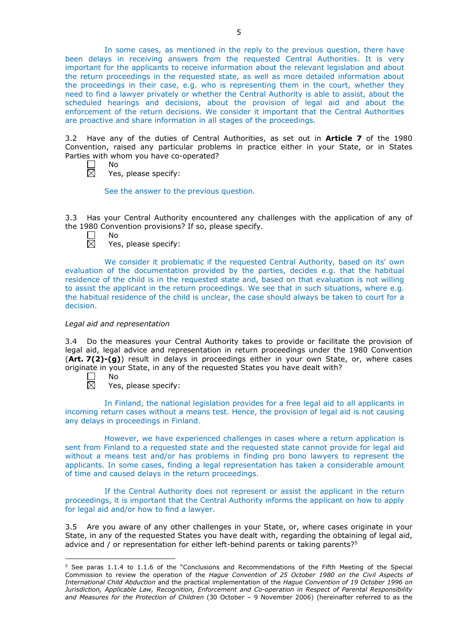In some cases, as mentioned in the reply to the previous question, there have been delays in receiving answers from the requested Central Authorities. It is very important for the applicants to receive information about the relevant legislation and about the return proceedings in the requested state, as well as more detailed information about the proceedings in their case, e.g. who is representing them in the court, whether they need to find a lawyer privately or whether the Central Authority is able to assist, about the scheduled hearings and decisions, about the provision of legal aid and about the enforcement of the return decisions. We consider it important that the Central Authorities are proactive and share information in all stages of the proceedings.

3.2 Have any of the duties of Central Authorities, as set out in **Article 7** of the 1980 Convention, raised any particular problems in practice either in your State, or in States Parties with whom you have co-operated?

No 岗

Yes, please specify:

See the answer to the previous question.

3.3 Has your Central Authority encountered any challenges with the application of any of the 1980 Convention provisions? If so, please specify.

No 反

Yes, please specify:

We consider it problematic if the requested Central Authority, based on its' own evaluation of the documentation provided by the parties, decides e.g. that the habitual residence of the child is in the requested state and, based on that evaluation is not willing to assist the applicant in the return proceedings. We see that in such situations, where e.g. the habitual residence of the child is unclear, the case should always be taken to court for a decision.

# *Legal aid and representation*

3.4 Do the measures your Central Authority takes to provide or facilitate the provision of legal aid, legal advice and representation in return proceedings under the 1980 Convention (**Art. 7(2)-(g)**) result in delays in proceedings either in your own State, or, where cases originate in your State, in any of the requested States you have dealt with?

 $\Box$ No

-

 $\overline{\boxtimes}$ Yes, please specify:

In Finland, the national legislation provides for a free legal aid to all applicants in incoming return cases without a means test. Hence, the provision of legal aid is not causing any delays in proceedings in Finland.

However, we have experienced challenges in cases where a return application is sent from Finland to a requested state and the requested state cannot provide for legal aid without a means test and/or has problems in finding pro bono lawyers to represent the applicants. In some cases, finding a legal representation has taken a considerable amount of time and caused delays in the return proceedings.

If the Central Authority does not represent or assist the applicant in the return proceedings, it is important that the Central Authority informs the applicant on how to apply for legal aid and/or how to find a lawyer.

3.5 Are you aware of any other challenges in your State, or, where cases originate in your State, in any of the requested States you have dealt with, regarding the obtaining of legal aid, advice and / or representation for either left-behind parents or taking parents? $5$ 

<sup>5</sup> See paras 1.1.4 to 1.1.6 of the "Conclusions and Recommendations of the Fifth Meeting of the Special Commission to review the operation of the *Hague Convention of 25 October 1980 on the Civil Aspects of International Child Abduction* and the practical implementation of the *Hague Convention of 19 October 1996 on Jurisdiction, Applicable Law, Recognition, Enforcement and Co-operation in Respect of Parental Responsibility and Measures for the Protection of Children* (30 October – 9 November 2006) (hereinafter referred to as the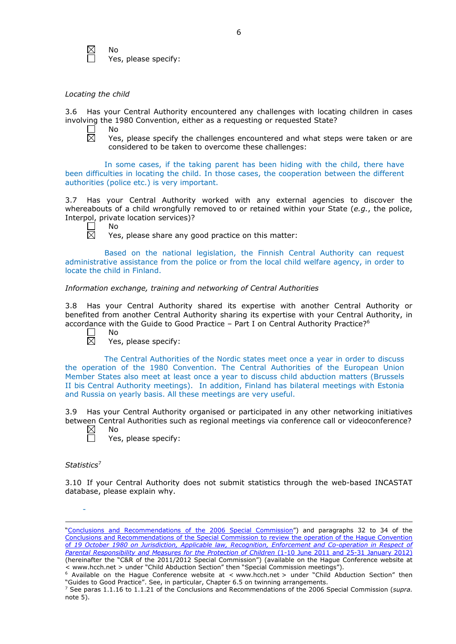

#### *Locating the child*

3.6 Has your Central Authority encountered any challenges with locating children in cases involving the 1980 Convention, either as a requesting or requested State?<br>  $\Box$  No

No  $\boxtimes$ 

Yes, please specify the challenges encountered and what steps were taken or are considered to be taken to overcome these challenges:

In some cases, if the taking parent has been hiding with the child, there have been difficulties in locating the child. In those cases, the cooperation between the different authorities (police etc.) is very important.

3.7 Has your Central Authority worked with any external agencies to discover the whereabouts of a child wrongfully removed to or retained within your State (*e.g.*, the police, Interpol, private location services)?



No

Yes, please share any good practice on this matter:

Based on the national legislation, the Finnish Central Authority can request administrative assistance from the police or from the local child welfare agency, in order to locate the child in Finland.

# *Information exchange, training and networking of Central Authorities*

3.8 Has your Central Authority shared its expertise with another Central Authority or benefited from another Central Authority sharing its expertise with your Central Authority, in accordance with the Guide to Good Practice  $-$  Part I on Central Authority Practice?<sup>6</sup> No

岗

Yes, please specify:

The Central Authorities of the Nordic states meet once a year in order to discuss the operation of the 1980 Convention. The Central Authorities of the European Union Member States also meet at least once a year to discuss child abduction matters (Brussels II bis Central Authority meetings). In addition, Finland has bilateral meetings with Estonia and Russia on yearly basis. All these meetings are very useful.

3.9 Has your Central Authority organised or participated in any other networking initiatives between Central Authorities such as regional meetings via conference call or videoconference?

 $\boxtimes$ No Yes, please specify:

### *Statistics*<sup>7</sup>

-

<u>.</u>

3.10 If your Central Authority does not submit statistics through the web-based INCASTAT database, please explain why.

[<sup>&</sup>quot;Conclusions and Recommendations of the 2006 Special Commission"](https://assets.hcch.net/upload/concl28sc5_e.pdf)) and paragraphs 32 to 34 of the [Conclusions and Recommendations of the Special Commission](https://assets.hcch.net/upload/wop/concl28sc6_e.pdf) to review the operation of the Hague Convention of *[19 October 1980 on Jurisdiction, Applicable law, Recognition, Enforcement and Co-operation in Respect of](https://assets.hcch.net/upload/wop/concl28sc6_e.pdf)  [Parental Responsibility and Measures for the Protection of Children](https://assets.hcch.net/upload/wop/concl28sc6_e.pdf)* (1-10 June 2011 and 25-31 January 2012) (hereinafter the "C&R of the 2011/2012 Special Commission") (available on the Hague Conference website at <br>< www.hcch.net > under "Child Abduction Section" then "Special Commission meetings").

Modiable on the Hague Conference website at < www.hcch.net > under "Child Abduction Section" then "Guides to Good Practice". See, in particular, Chapter 6.5 on twinning arrangements.

<sup>7</sup> See paras 1.1.16 to 1.1.21 of the Conclusions and Recommendations of the 2006 Special Commission (*supra.*  note  $5$ ).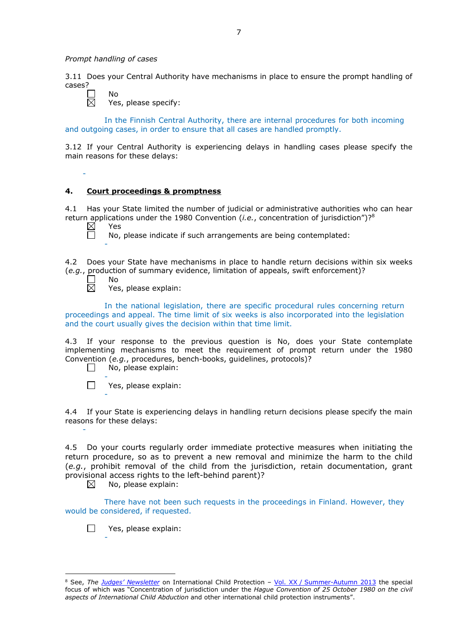*Prompt handling of cases*

No

3.11 Does your Central Authority have mechanisms in place to ensure the prompt handling of cases?

 $\Box$ 岗

-

Yes, please specify:

In the Finnish Central Authority, there are internal procedures for both incoming and outgoing cases, in order to ensure that all cases are handled promptly.

3.12 If your Central Authority is experiencing delays in handling cases please specify the main reasons for these delays:

### **4. Court proceedings & promptness**

4.1 Has your State limited the number of judicial or administrative authorities who can hear return applications under the 1980 Convention (*i.e.*, concentration of jurisdiction")?8

 $\boxtimes$ Yes 戸

-

No, please indicate if such arrangements are being contemplated:

4.2 Does your State have mechanisms in place to handle return decisions within six weeks (*e.g.*, production of summary evidence, limitation of appeals, swift enforcement)?<br>  $\Box$  No<br>  $\boxtimes$  Yes. please explain: No

-

-

Yes, please explain:

In the national legislation, there are specific procedural rules concerning return proceedings and appeal. The time limit of six weeks is also incorporated into the legislation and the court usually gives the decision within that time limit.

4.3 If your response to the previous question is No, does your State contemplate implementing mechanisms to meet the requirement of prompt return under the 1980 Convention (*e.g.*, procedures, bench-books, guidelines, protocols)?<br>  $\Box$  No. please explain:

- No, please explain:
- $\Box$ Yes, please explain: -

4.4 If your State is experiencing delays in handling return decisions please specify the main reasons for these delays:

4.5 Do your courts regularly order immediate protective measures when initiating the return procedure, so as to prevent a new removal and minimize the harm to the child (*e.g.*, prohibit removal of the child from the jurisdiction, retain documentation, grant provisional access rights to the left-behind parent)?<br>  $\boxtimes$  No, please explain:

No, please explain:

There have not been such requests in the proceedings in Finland. However, they would be considered, if requested.

 $\Box$ Yes, please explain:

-

<sup>8</sup> See, *The [Judges' Newsletter](https://www.hcch.net/en/instruments/conventions/publications2/judges-newsletter)* on International Child Protection – Vol. XX / [Summer-Autumn 2013](https://assets.hcch.net/upload/newsletter/nl2013tome20en.pdf) the special focus of which was "Concentration of jurisdiction under the *Hague Convention of 25 October 1980 on the civil aspects of International Child Abduction* and other international child protection instruments".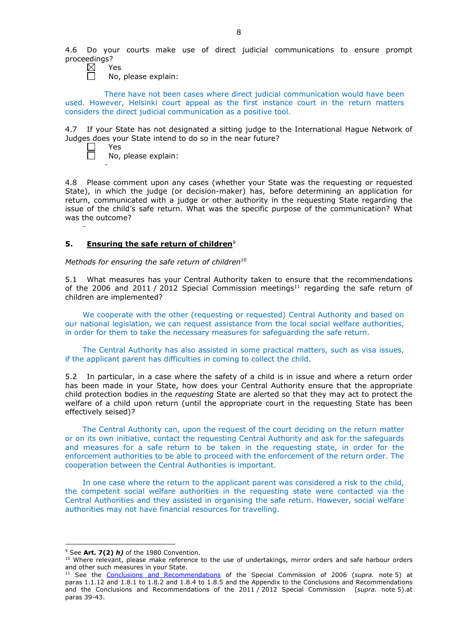4.6 Do your courts make use of direct judicial communications to ensure prompt proceedings?

- Yes
	- No, please explain:

There have not been cases where direct judicial communication would have been used. However, Helsinki court appeal as the first instance court in the return matters considers the direct judicial communication as a positive tool.

4.7 If your State has not designated a sitting judge to the International Hague Network of Judges does your State intend to do so in the near future?

| Y<br>ڪڪ |
|---------|
| Nο.     |

-

-

No, please explain:

4.8 Please comment upon any cases (whether your State was the requesting or requested State), in which the judge (or decision-maker) has, before determining an application for return, communicated with a judge or other authority in the requesting State regarding the issue of the child's safe return. What was the specific purpose of the communication? What was the outcome?

## **5. Ensuring the safe return of children**<sup>9</sup>

*Methods for ensuring the safe return of children*<sup>10</sup>

5.1 What measures has your Central Authority taken to ensure that the recommendations of the 2006 and 2011 / 2012 Special Commission meetings<sup>11</sup> regarding the safe return of children are implemented?

We cooperate with the other (requesting or requested) Central Authority and based on our national legislation, we can request assistance from the local social welfare authorities, in order for them to take the necessary measures for safeguarding the safe return.

The Central Authority has also assisted in some practical matters, such as visa issues, if the applicant parent has difficulties in coming to collect the child.

5.2 In particular, in a case where the safety of a child is in issue and where a return order has been made in your State, how does your Central Authority ensure that the appropriate child protection bodies in the *requesting* State are alerted so that they may act to protect the welfare of a child upon return (until the appropriate court in the requesting State has been effectively seised)?

The Central Authority can, upon the request of the court deciding on the return matter or on its own initiative, contact the requesting Central Authority and ask for the safeguards and measures for a safe return to be taken in the requesting state, in order for the enforcement authorities to be able to proceed with the enforcement of the return order. The cooperation between the Central Authorities is important.

In one case where the return to the applicant parent was considered a risk to the child, the competent social welfare authorities in the requesting state were contacted via the Central Authorities and they assisted in organising the safe return. However, social welfare authorities may not have financial resources for travelling.

<u>.</u>

<sup>9</sup> See **Art. 7(2)** *h)* of the 1980 Convention.

<sup>&</sup>lt;sup>10</sup> Where relevant, please make reference to the use of undertakings, mirror orders and safe harbour orders and other such measures in your State.

<sup>11</sup> See the [Conclusions and Recommendations](https://assets.hcch.net/upload/concl28sc5_e.pdf) of the Special Commission of 2006 (*supra.* note 5) at paras 1.1.12 and 1.8.1 to 1.8.2 and 1.8.4 to 1.8.5 and the Appendix to the Conclusions and Recommendations and the [Conclusions and Recommendations of the 2011](https://assets.hcch.net/upload/wop/concl28sc6_e.pdf) / 2012 Special Commission (*supra.* note 5).at paras 39-43.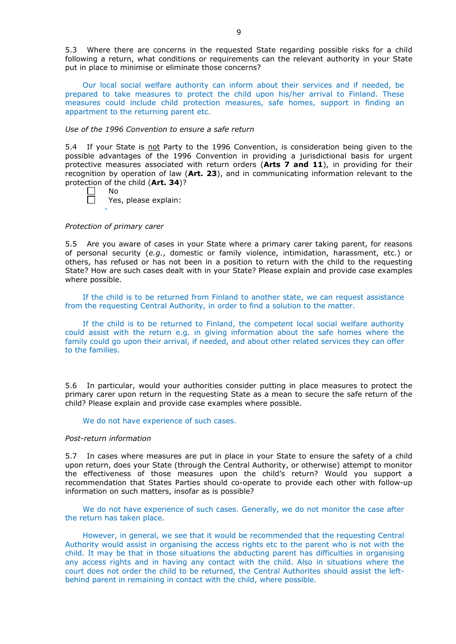5.3 Where there are concerns in the requested State regarding possible risks for a child following a return, what conditions or requirements can the relevant authority in your State put in place to minimise or eliminate those concerns?

Our local social welfare authority can inform about their services and if needed, be prepared to take measures to protect the child upon his/her arrival to Finland. These measures could include child protection measures, safe homes, support in finding an appartment to the returning parent etc.

### *Use of the 1996 Convention to ensure a safe return*

5.4 If your State is not Party to the 1996 Convention, is consideration being given to the possible advantages of the 1996 Convention in providing a jurisdictional basis for urgent protective measures associated with return orders (**Arts 7 and 11**), in providing for their recognition by operation of law (**Art. 23**), and in communicating information relevant to the protection of the child (**Art. 34**)?

| N٥       |  |
|----------|--|
| Yes, ple |  |

-

Yes, please explain:

### *Protection of primary carer*

5.5 Are you aware of cases in your State where a primary carer taking parent, for reasons of personal security (*e.g.*, domestic or family violence, intimidation, harassment, etc.) or others, has refused or has not been in a position to return with the child to the requesting State? How are such cases dealt with in your State? Please explain and provide case examples where possible.

If the child is to be returned from Finland to another state, we can request assistance from the requesting Central Authority, in order to find a solution to the matter.

If the child is to be returned to Finland, the competent local social welfare authority could assist with the return e.g. in giving information about the safe homes where the family could go upon their arrival, if needed, and about other related services they can offer to the families.

5.6 In particular, would your authorities consider putting in place measures to protect the primary carer upon return in the requesting State as a mean to secure the safe return of the child? Please explain and provide case examples where possible.

### We do not have experience of such cases.

#### *Post-return information*

5.7 In cases where measures are put in place in your State to ensure the safety of a child upon return, does your State (through the Central Authority, or otherwise) attempt to monitor the effectiveness of those measures upon the child's return? Would you support a recommendation that States Parties should co-operate to provide each other with follow-up information on such matters, insofar as is possible?

We do not have experience of such cases. Generally, we do not monitor the case after the return has taken place.

However, in general, we see that it would be recommended that the requesting Central Authority would assist in organising the access rights etc to the parent who is not with the child. It may be that in those situations the abducting parent has difficulties in organising any access rights and in having any contact with the child. Also in situations where the court does not order the child to be returned, the Central Authorites should assist the leftbehind parent in remaining in contact with the child, where possible.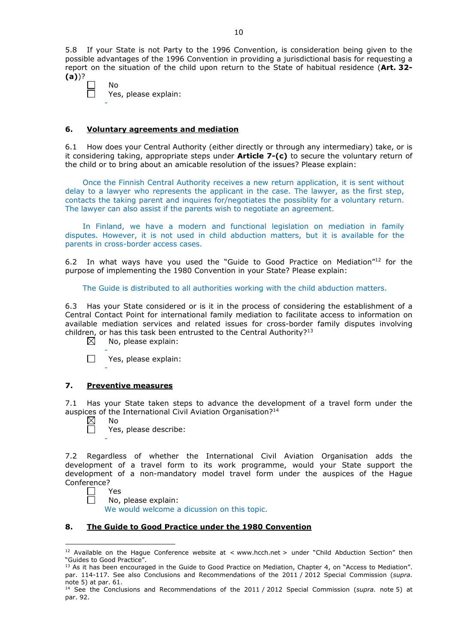5.8 If your State is not Party to the 1996 Convention, is consideration being given to the possible advantages of the 1996 Convention in providing a jurisdictional basis for requesting a report on the situation of the child upon return to the State of habitual residence (**Art. 32- (a)**)?

| N٥                   |
|----------------------|
| Yes, please explain: |
|                      |

### **6. Voluntary agreements and mediation**

6.1 How does your Central Authority (either directly or through any intermediary) take, or is it considering taking, appropriate steps under **Article 7-(c)** to secure the voluntary return of the child or to bring about an amicable resolution of the issues? Please explain:

Once the Finnish Central Authority receives a new return application, it is sent without delay to a lawyer who represents the applicant in the case. The lawyer, as the first step, contacts the taking parent and inquires for/negotiates the possiblity for a voluntary return. The lawyer can also assist if the parents wish to negotiate an agreement.

In Finland, we have a modern and functional legislation on mediation in family disputes. However, it is not used in child abduction matters, but it is available for the parents in cross-border access cases.

6.2 In what ways have you used the "Guide to Good Practice on Mediation" $12$  for the purpose of implementing the 1980 Convention in your State? Please explain:

The Guide is distributed to all authorities working with the child abduction matters.

6.3 Has your State considered or is it in the process of considering the establishment of a Central Contact Point for international family mediation to facilitate access to information on available mediation services and related issues for cross-border family disputes involving children, or has this task been entrusted to the Central Authority?<sup>13</sup>

 $\boxtimes$ No, please explain:



# **7. Preventive measures**

7.1 Has your State taken steps to advance the development of a travel form under the auspices of the International Civil Aviation Organisation?<sup>14</sup>

 $\boxtimes$ No  $\Box$ 

-

Yes, please describe:

7.2 Regardless of whether the International Civil Aviation Organisation adds the development of a travel form to its work programme, would your State support the development of a non-mandatory model travel form under the auspices of the Hague Conference?

Yes

<u>.</u>

No, please explain:

We would welcome a dicussion on this topic.

# **8. The Guide to Good Practice under the 1980 Convention**

<sup>&</sup>lt;sup>12</sup> Available on the Hague Conference website at < www.hcch.net > under "Child Abduction Section" then "Guides to Good Practice".

<sup>&</sup>lt;sup>13</sup> As it has been encouraged in the Guide to Good Practice on Mediation, Chapter 4, on "Access to Mediation". par. 114-117. See also [Conclusions and Recommendations of the 2011](https://assets.hcch.net/upload/wop/concl28sc6_e.pdf) / 2012 Special Commission (*supra.* <sub>n</sub>ote 5) at par. 61.

<sup>14</sup> See the [Conclusions and Recommendations of the 2011](https://assets.hcch.net/upload/wop/concl28sc6_e.pdf) / 2012 Special Commission (*supra.* note 5) at par. 92.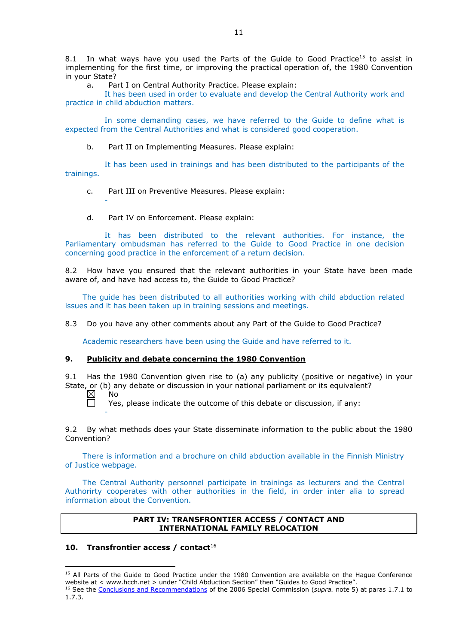8.1 In what ways have you used the Parts of the Guide to Good Practice<sup>15</sup> to assist in implementing for the first time, or improving the practical operation of, the 1980 Convention in your State?

a. Part I on Central Authority Practice. Please explain:

It has been used in order to evaluate and develop the Central Authority work and practice in child abduction matters.

In some demanding cases, we have referred to the Guide to define what is expected from the Central Authorities and what is considered good cooperation.

b. Part II on Implementing Measures. Please explain:

It has been used in trainings and has been distributed to the participants of the trainings.

- c. Part III on Preventive Measures. Please explain:
- d. Part IV on Enforcement. Please explain:

It has been distributed to the relevant authorities. For instance, the Parliamentary ombudsman has referred to the Guide to Good Practice in one decision concerning good practice in the enforcement of a return decision.

8.2 How have you ensured that the relevant authorities in your State have been made aware of, and have had access to, the Guide to Good Practice?

The guide has been distributed to all authorities working with child abduction related issues and it has been taken up in training sessions and meetings.

8.3 Do you have any other comments about any Part of the Guide to Good Practice?

Academic researchers have been using the Guide and have referred to it.

### **9. Publicity and debate concerning the 1980 Convention**

9.1 Has the 1980 Convention given rise to (a) any publicity (positive or negative) in your State, or (b) any debate or discussion in your national parliament or its equivalent?<br>  $\boxtimes$  No

No  $\Box$ 

-

-

-

Yes, please indicate the outcome of this debate or discussion, if any:

9.2 By what methods does your State disseminate information to the public about the 1980 Convention?

There is information and a brochure on child abduction available in the Finnish Ministry of Justice webpage.

The Central Authority personnel participate in trainings as lecturers and the Central Authorirty cooperates with other authorities in the field, in order inter alia to spread information about the Convention.

### **PART IV: TRANSFRONTIER ACCESS / CONTACT AND INTERNATIONAL FAMILY RELOCATION**

# **10. Transfrontier access / contact**<sup>16</sup>

<sup>&</sup>lt;sup>15</sup> All Parts of the Guide to Good Practice under the 1980 Convention are available on the Hague Conference website at < www.hcch.net > under "Child Abduction Section" then "Guides to Good Practice".

<sup>16</sup> See the [Conclusions and Recommendations](https://assets.hcch.net/upload/concl28sc5_e.pdf) of the 2006 Special Commission (*supra.* note 5) at paras 1.7.1 to 1.7.3.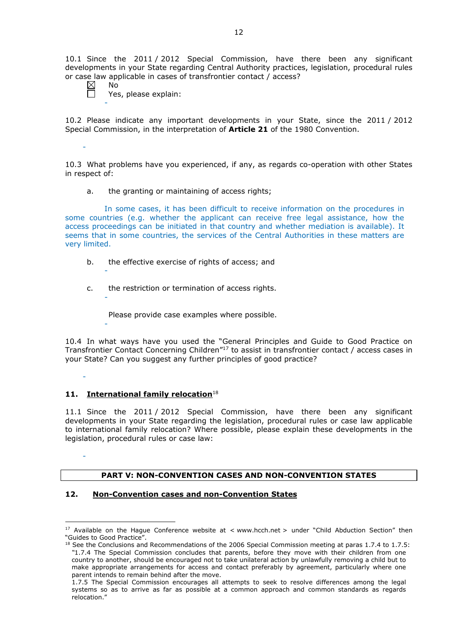10.1 Since the 2011 / 2012 Special Commission, have there been any significant developments in your State regarding Central Authority practices, legislation, procedural rules or case law applicable in cases of transfrontier contact / access?

 $\boxtimes$ No

 $\Box$ 

-

-

-

-

-

-

Yes, please explain:

10.2 Please indicate any important developments in your State, since the 2011 / 2012 Special Commission, in the interpretation of **Article 21** of the 1980 Convention.

-

10.3 What problems have you experienced, if any, as regards co-operation with other States in respect of:

a. the granting or maintaining of access rights;

In some cases, it has been difficult to receive information on the procedures in some countries (e.g. whether the applicant can receive free legal assistance, how the access proceedings can be initiated in that country and whether mediation is available). It seems that in some countries, the services of the Central Authorities in these matters are very limited.

- b. the effective exercise of rights of access; and
- c. the restriction or termination of access rights.

Please provide case examples where possible.

10.4 In what ways have you used the "General Principles and Guide to Good Practice on Transfrontier Contact Concerning Children"17 to assist in transfrontier contact / access cases in your State? Can you suggest any further principles of good practice?

# 11. **International family relocation**<sup>18</sup>

11.1 Since the 2011 / 2012 Special Commission, have there been any significant developments in your State regarding the legislation, procedural rules or case law applicable to international family relocation? Where possible, please explain these developments in the legislation, procedural rules or case law:

## **PART V: NON-CONVENTION CASES AND NON-CONVENTION STATES**

## **12. Non-Convention cases and non-Convention States**

<sup>&</sup>lt;u>.</u>  $17$  Available on the Hague Conference website at < www.hcch.net > under "Child Abduction Section" then "Guides to Good Practice".

 $18$  See the Conclusions and Recommendations of the 2006 Special Commission meeting at paras 1.7.4 to 1.7.5: *"*1.7.4 The Special Commission concludes that parents, before they move with their children from one country to another, should be encouraged not to take unilateral action by unlawfully removing a child but to make appropriate arrangements for access and contact preferably by agreement, particularly where one parent intends to remain behind after the move.

<sup>1.7.5</sup> The Special Commission encourages all attempts to seek to resolve differences among the legal systems so as to arrive as far as possible at a common approach and common standards as regards relocation."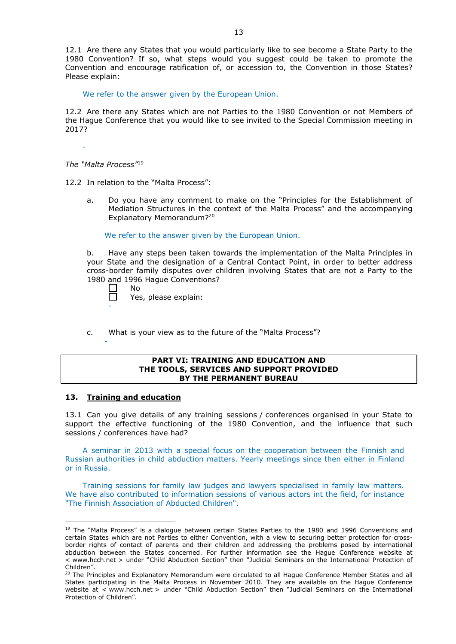12.1 Are there any States that you would particularly like to see become a State Party to the 1980 Convention? If so, what steps would you suggest could be taken to promote the Convention and encourage ratification of, or accession to, the Convention in those States? Please explain:

We refer to the answer given by the European Union.

12.2 Are there any States which are not Parties to the 1980 Convention or not Members of the Hague Conference that you would like to see invited to the Special Commission meeting in 2017?

-

*The "Malta Process"*<sup>19</sup>

12.2 In relation to the "Malta Process":

a. Do you have any comment to make on the "Principles for the Establishment of Mediation Structures in the context of the Malta Process" and the accompanying Explanatory Memorandum?20

We refer to the answer given by the European Union.

b. Have any steps been taken towards the implementation of the Malta Principles in your State and the designation of a Central Contact Point, in order to better address cross-border family disputes over children involving States that are not a Party to the 1980 and 1996 Hague Conventions?<br>
<u>D</u> No

No

-

-

<u>.</u>

 $\Box$ Yes, please explain:

c. What is your view as to the future of the "Malta Process"?

#### **PART VI: TRAINING AND EDUCATION AND THE TOOLS, SERVICES AND SUPPORT PROVIDED BY THE PERMANENT BUREAU**

# **13. Training and education**

13.1 Can you give details of any training sessions / conferences organised in your State to support the effective functioning of the 1980 Convention, and the influence that such sessions / conferences have had?

A seminar in 2013 with a special focus on the cooperation between the Finnish and Russian authorities in child abduction matters. Yearly meetings since then either in Finland or in Russia.

Training sessions for family law judges and lawyers specialised in family law matters. We have also contributed to information sessions of various actors int the field, for instance "The Finnish Association of Abducted Children".

<sup>&</sup>lt;sup>19</sup> The "Malta Process" is a dialogue between certain States Parties to the 1980 and 1996 Conventions and certain States which are not Parties to either Convention, with a view to securing better protection for crossborder rights of contact of parents and their children and addressing the problems posed by international abduction between the States concerned. For further information see the Hague Conference website at < www.hcch.net > under "Child Abduction Section" then "Judicial Seminars on the International Protection of Children".

<sup>20</sup> The Principles and Explanatory Memorandum were circulated to all Hague Conference Member States and all States participating in the Malta Process in November 2010. They are available on the Hague Conference website at < www.hcch.net > under "Child Abduction Section" then "Judicial Seminars on the International Protection of Children".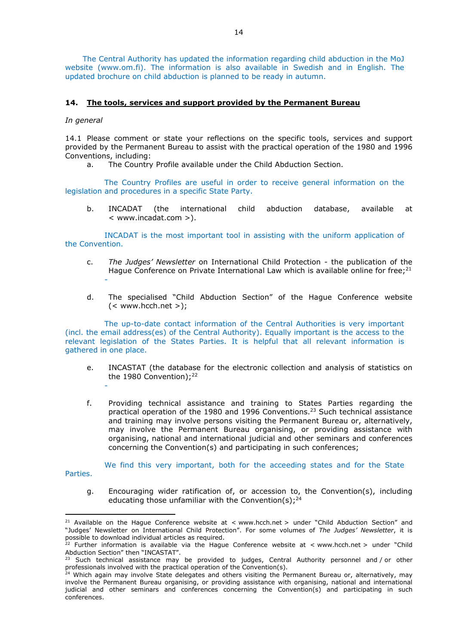The Central Authority has updated the information regarding child abduction in the MoJ website (www.om.fi). The information is also available in Swedish and in English. The updated brochure on child abduction is planned to be ready in autumn.

# **14. The tools, services and support provided by the Permanent Bureau**

#### *In general*

14.1 Please comment or state your reflections on the specific tools, services and support provided by the Permanent Bureau to assist with the practical operation of the 1980 and 1996 Conventions, including:

a. The Country Profile available under the Child Abduction Section.

The Country Profiles are useful in order to receive general information on the legislation and procedures in a specific State Party.

b. INCADAT (the international child abduction database, available at < www.incadat.com >).

INCADAT is the most important tool in assisting with the uniform application of the Convention.

- c. *The Judges' Newsletter* on International Child Protection the publication of the Hague Conference on Private International Law which is available online for free; $2<sup>1</sup>$ -
- d. The specialised "Child Abduction Section" of the Hague Conference website  $(<$  www.hcch.net  $>$ ):

The up-to-date contact information of the Central Authorities is very important (incl. the email address(es) of the Central Authority). Equally important is the access to the relevant legislation of the States Parties. It is helpful that all relevant information is gathered in one place.

- e. INCASTAT (the database for the electronic collection and analysis of statistics on the 1980 Convention); $^{22}$
- f. Providing technical assistance and training to States Parties regarding the practical operation of the 1980 and 1996 Conventions.23 Such technical assistance and training may involve persons visiting the Permanent Bureau or, alternatively, may involve the Permanent Bureau organising, or providing assistance with organising, national and international judicial and other seminars and conferences concerning the Convention(s) and participating in such conferences;

We find this very important, both for the acceeding states and for the State

Parties.

<u>.</u>

-

g. Encouraging wider ratification of, or accession to, the Convention(s), including educating those unfamiliar with the Convention(s);<sup>24</sup>

<sup>&</sup>lt;sup>21</sup> Available on the Hague Conference website at < www.hcch.net > under "Child Abduction Section" and "Judges' Newsletter on International Child Protection". For some volumes of *The Judges' Newsletter*, it is possible to download individual articles as required.

<sup>&</sup>lt;sup>22</sup> Further information is available via the Hague Conference website at  $\lt$  www.hcch.net  $>$  under "Child Abduction Section" then "INCASTAT".

<sup>&</sup>lt;sup>23</sup> Such technical assistance may be provided to judges, Central Authority personnel and / or other professionals involved with the practical operation of the Convention(s).

<sup>&</sup>lt;sup>24</sup> Which again may involve State delegates and others visiting the Permanent Bureau or, alternatively, may involve the Permanent Bureau organising, or providing assistance with organising, national and international judicial and other seminars and conferences concerning the Convention(s) and participating in such conferences.